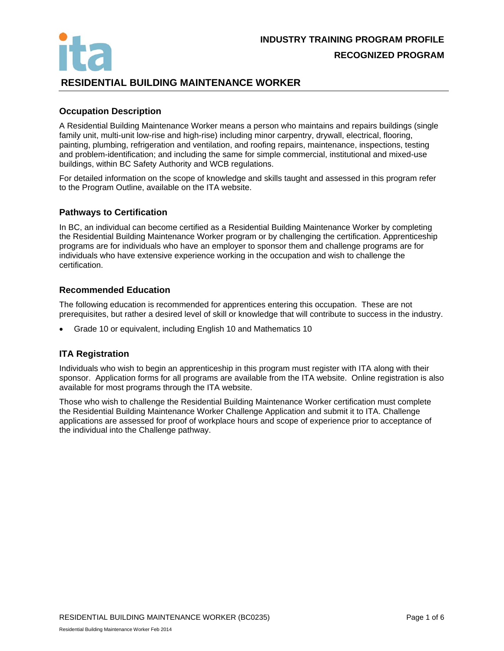

## **RESIDENTIAL BUILDING MAINTENANCE WORKER**

## **Occupation Description**

A Residential Building Maintenance Worker means a person who maintains and repairs buildings (single family unit, multi-unit low-rise and high-rise) including minor carpentry, drywall, electrical, flooring, painting, plumbing, refrigeration and ventilation, and roofing repairs, maintenance, inspections, testing and problem-identification; and including the same for simple commercial, institutional and mixed-use buildings, within BC Safety Authority and WCB regulations.

For detailed information on the scope of knowledge and skills taught and assessed in this program refer to the Program Outline, available on the ITA website.

#### **Pathways to Certification**

In BC, an individual can become certified as a Residential Building Maintenance Worker by completing the Residential Building Maintenance Worker program or by challenging the certification. Apprenticeship programs are for individuals who have an employer to sponsor them and challenge programs are for individuals who have extensive experience working in the occupation and wish to challenge the certification.

#### **Recommended Education**

The following education is recommended for apprentices entering this occupation. These are not prerequisites, but rather a desired level of skill or knowledge that will contribute to success in the industry.

Grade 10 or equivalent, including English 10 and Mathematics 10

## **ITA Registration**

Individuals who wish to begin an apprenticeship in this program must register with ITA along with their sponsor. Application forms for all programs are available from the ITA website. Online registration is also available for most programs through the ITA website.

Those who wish to challenge the Residential Building Maintenance Worker certification must complete the Residential Building Maintenance Worker Challenge Application and submit it to ITA. Challenge applications are assessed for proof of workplace hours and scope of experience prior to acceptance of the individual into the Challenge pathway.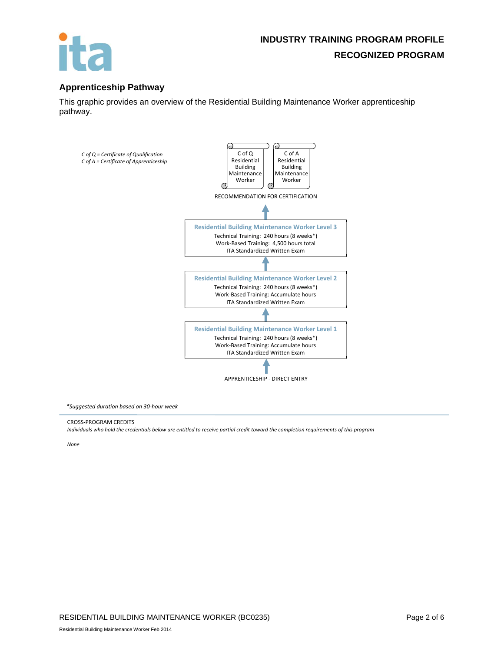

## **Apprenticeship Pathway**

This graphic provides an overview of the Residential Building Maintenance Worker apprenticeship pathway.



*\*Suggested duration based on 30‐hour week*

CROSS‐PROGRAM CREDITS

Individuals who hold the credentials below are entitled to receive partial credit toward the completion requirements of this program

*None*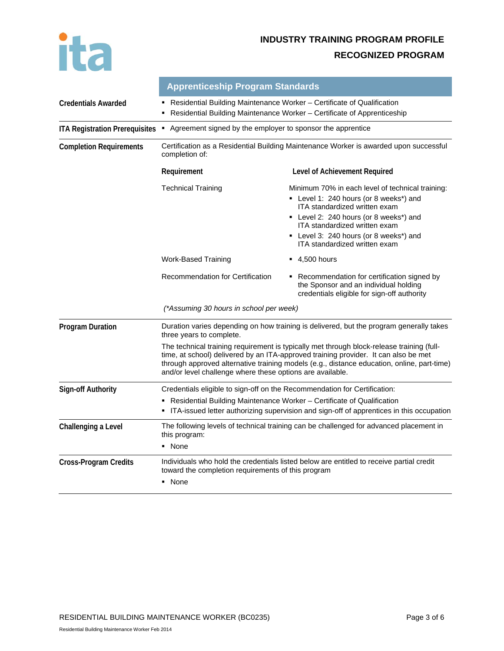

# **INDUSTRY TRAINING PROGRAM PROFILE**

## **RECOGNIZED PROGRAM**

|                                       | <b>Apprenticeship Program Standards</b>                                                                                                                                                                                                                                                                                                     |                                                                                                                                                                                                                                                                                          |  |  |  |
|---------------------------------------|---------------------------------------------------------------------------------------------------------------------------------------------------------------------------------------------------------------------------------------------------------------------------------------------------------------------------------------------|------------------------------------------------------------------------------------------------------------------------------------------------------------------------------------------------------------------------------------------------------------------------------------------|--|--|--|
| <b>Credentials Awarded</b>            | Residential Building Maintenance Worker – Certificate of Qualification<br>Residential Building Maintenance Worker - Certificate of Apprenticeship                                                                                                                                                                                           |                                                                                                                                                                                                                                                                                          |  |  |  |
| <b>ITA Registration Prerequisites</b> | • Agreement signed by the employer to sponsor the apprentice                                                                                                                                                                                                                                                                                |                                                                                                                                                                                                                                                                                          |  |  |  |
| <b>Completion Requirements</b>        | Certification as a Residential Building Maintenance Worker is awarded upon successful<br>completion of:                                                                                                                                                                                                                                     |                                                                                                                                                                                                                                                                                          |  |  |  |
|                                       | Requirement                                                                                                                                                                                                                                                                                                                                 | Level of Achievement Required                                                                                                                                                                                                                                                            |  |  |  |
|                                       | <b>Technical Training</b>                                                                                                                                                                                                                                                                                                                   | Minimum 70% in each level of technical training:<br>• Level 1: 240 hours (or 8 weeks*) and<br>ITA standardized written exam<br>• Level 2: 240 hours (or 8 weeks*) and<br>ITA standardized written exam<br>• Level 3: 240 hours (or 8 weeks*) and<br><b>ITA</b> standardized written exam |  |  |  |
|                                       | Work-Based Training                                                                                                                                                                                                                                                                                                                         | $-4,500$ hours                                                                                                                                                                                                                                                                           |  |  |  |
|                                       | Recommendation for Certification                                                                                                                                                                                                                                                                                                            | • Recommendation for certification signed by<br>the Sponsor and an individual holding<br>credentials eligible for sign-off authority                                                                                                                                                     |  |  |  |
|                                       | (*Assuming 30 hours in school per week)                                                                                                                                                                                                                                                                                                     |                                                                                                                                                                                                                                                                                          |  |  |  |
| <b>Program Duration</b>               | Duration varies depending on how training is delivered, but the program generally takes<br>three years to complete.                                                                                                                                                                                                                         |                                                                                                                                                                                                                                                                                          |  |  |  |
|                                       | The technical training requirement is typically met through block-release training (full-<br>time, at school) delivered by an ITA-approved training provider. It can also be met<br>through approved alternative training models (e.g., distance education, online, part-time)<br>and/or level challenge where these options are available. |                                                                                                                                                                                                                                                                                          |  |  |  |
| <b>Sign-off Authority</b>             | Credentials eligible to sign-off on the Recommendation for Certification:                                                                                                                                                                                                                                                                   |                                                                                                                                                                                                                                                                                          |  |  |  |
|                                       | • Residential Building Maintenance Worker – Certificate of Qualification<br>• ITA-issued letter authorizing supervision and sign-off of apprentices in this occupation                                                                                                                                                                      |                                                                                                                                                                                                                                                                                          |  |  |  |
| Challenging a Level                   | The following levels of technical training can be challenged for advanced placement in<br>this program:                                                                                                                                                                                                                                     |                                                                                                                                                                                                                                                                                          |  |  |  |
|                                       | • None                                                                                                                                                                                                                                                                                                                                      |                                                                                                                                                                                                                                                                                          |  |  |  |
| <b>Cross-Program Credits</b>          | Individuals who hold the credentials listed below are entitled to receive partial credit<br>toward the completion requirements of this program<br>• None                                                                                                                                                                                    |                                                                                                                                                                                                                                                                                          |  |  |  |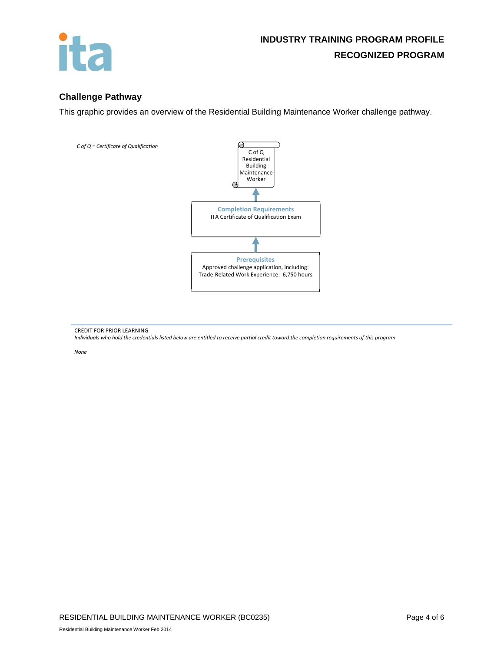

## **Challenge Pathway**

This graphic provides an overview of the Residential Building Maintenance Worker challenge pathway.



CREDIT FOR PRIOR LEARNING Individuals who hold the credentials listed below are entitled to receive partial credit toward the completion requirements of this program

*None*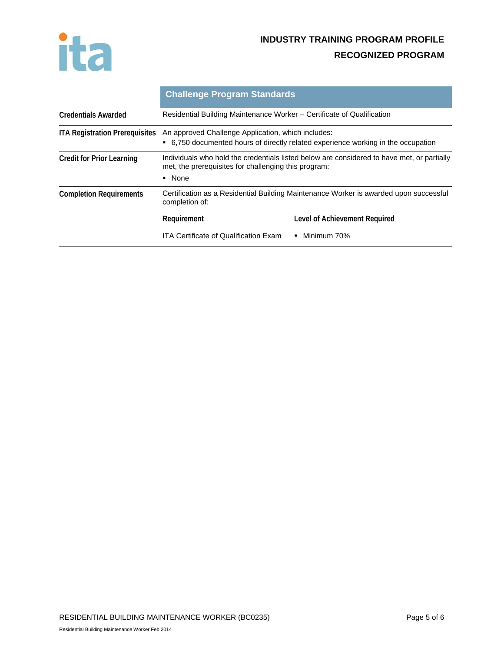

# **INDUSTRY TRAINING PROGRAM PROFILE RECOGNIZED PROGRAM**

|                                       | <b>Challenge Program Standards</b>                                                                                                                                           |                               |  |  |
|---------------------------------------|------------------------------------------------------------------------------------------------------------------------------------------------------------------------------|-------------------------------|--|--|
| <b>Credentials Awarded</b>            | Residential Building Maintenance Worker - Certificate of Qualification                                                                                                       |                               |  |  |
| <b>ITA Registration Prerequisites</b> | An approved Challenge Application, which includes:<br>• 6.750 documented hours of directly related experience working in the occupation                                      |                               |  |  |
| <b>Credit for Prior Learning</b>      | Individuals who hold the credentials listed below are considered to have met, or partially<br>met, the prerequisites for challenging this program:<br>None<br>$\blacksquare$ |                               |  |  |
| <b>Completion Requirements</b>        | Certification as a Residential Building Maintenance Worker is awarded upon successful<br>completion of:                                                                      |                               |  |  |
|                                       | Requirement                                                                                                                                                                  | Level of Achievement Required |  |  |
|                                       | ITA Certificate of Qualification Exam                                                                                                                                        | Minimum 70%<br>п.             |  |  |